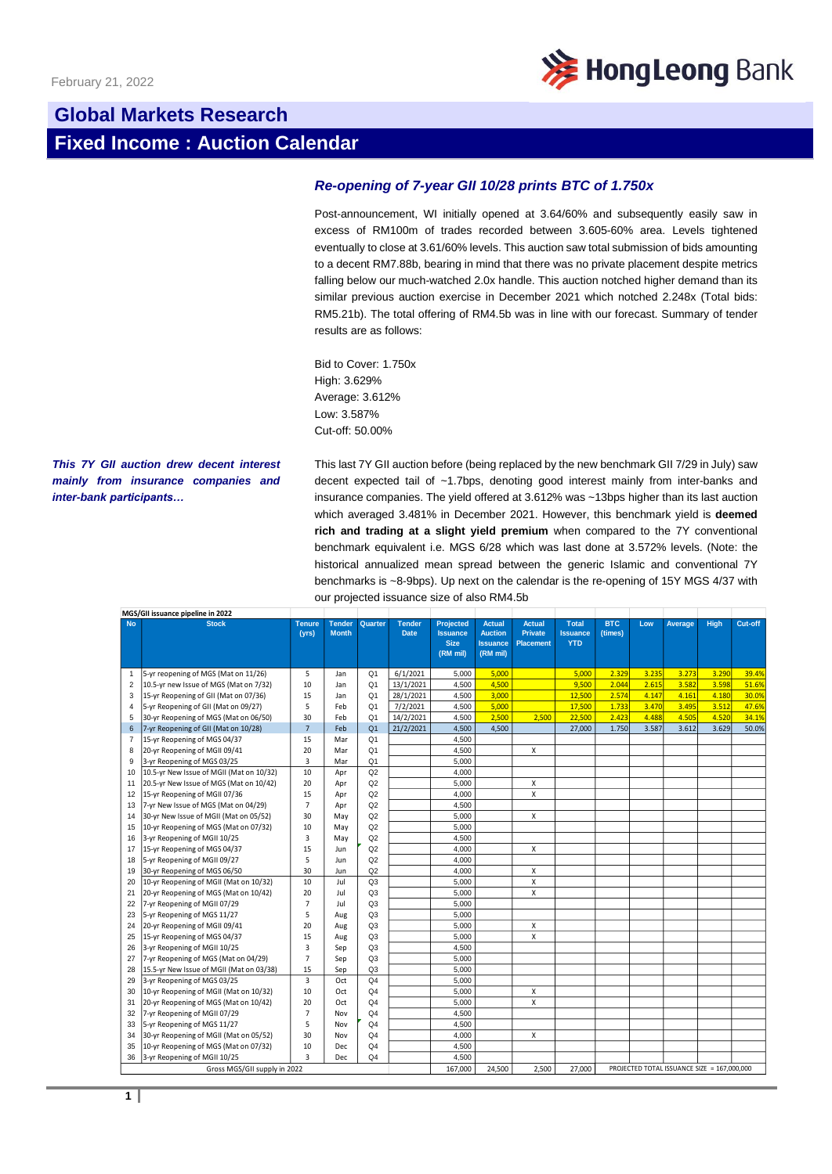

# **Global Markets Research Fixed Income : Auction Calendar**

## *Re-opening of 7-year GII 10/28 prints BTC of 1.750x*

Post-announcement, WI initially opened at 3.64/60% and subsequently easily saw in excess of RM100m of trades recorded between 3.605-60% area. Levels tightened eventually to close at 3.61/60% levels. This auction saw total submission of bids amounting to a decent RM7.88b, bearing in mind that there was no private placement despite metrics falling below our much-watched 2.0x handle. This auction notched higher demand than its similar previous auction exercise in December 2021 which notched 2.248x (Total bids: RM5.21b). The total offering of RM4.5b was in line with our forecast. Summary of tender results are as follows:

Bid to Cover: 1.750x High: 3.629% Average: 3.612% Low: 3.587% Cut-off: 50.00%

### *This 7Y GII auction drew decent interest mainly from insurance companies and inter-bank participants…*

This last 7Y GII auction before (being replaced by the new benchmark GII 7/29 in July) saw decent expected tail of ~1.7bps, denoting good interest mainly from inter-banks and insurance companies. The yield offered at 3.612% was ~13bps higher than its last auction which averaged 3.481% in December 2021. However, this benchmark yield is **deemed rich and trading at a slight yield premium** when compared to the 7Y conventional benchmark equivalent i.e. MGS 6/28 which was last done at 3.572% levels. (Note: the historical annualized mean spread between the generic Islamic and conventional 7Y benchmarks is ~8-9bps). Up next on the calendar is the re-opening of 15Y MGS 4/37 with our projected issuance size of also RM4.5b

| MGS/GII issuance pipeline in 2022 |                                          |                        |                               |                |                              |                                                                |                                                                |                                                     |                                               |                       |       |                                             |             |         |
|-----------------------------------|------------------------------------------|------------------------|-------------------------------|----------------|------------------------------|----------------------------------------------------------------|----------------------------------------------------------------|-----------------------------------------------------|-----------------------------------------------|-----------------------|-------|---------------------------------------------|-------------|---------|
| <b>No</b>                         | <b>Stock</b>                             | <b>Tenure</b><br>(vrs) | <b>Tender</b><br><b>Month</b> | Quarter        | <b>Tender</b><br><b>Date</b> | <b>Projected</b><br><b>Issuance</b><br><b>Size</b><br>(RM mil) | <b>Actual</b><br><b>Auction</b><br><b>Issuance</b><br>(RM mil) | <b>Actual</b><br><b>Private</b><br><b>Placement</b> | <b>Total</b><br><b>Issuance</b><br><b>YTD</b> | <b>BTC</b><br>(times) | Low   | Average                                     | <b>High</b> | Cut-off |
| $\mathbf{1}$                      | 5-yr reopening of MGS (Mat on 11/26)     | 5                      | Jan                           | Q <sub>1</sub> | 6/1/2021                     | 5,000                                                          | 5,000                                                          |                                                     | 5,000                                         | 2.329                 | 3.235 | 3.273                                       | 3.290       | 39.4%   |
| $\overline{2}$                    | 10.5-yr new Issue of MGS (Mat on 7/32)   | 10                     | Jan                           | Q <sub>1</sub> | 13/1/2021                    | 4,500                                                          | 4,500                                                          |                                                     | 9,500                                         | 2.044                 | 2.615 | 3.582                                       | 3.598       | 51.6%   |
| 3                                 | 15-yr Reopening of GII (Mat on 07/36)    | 15                     | Jan                           | Q <sub>1</sub> | 28/1/2021                    | 4,500                                                          | 3,000                                                          |                                                     | 12,500                                        | 2.574                 | 4.147 | 4.161                                       | 4.180       | 30.0%   |
| 4                                 | 5-yr Reopening of GII (Mat on 09/27)     | 5                      | Feb                           | Q <sub>1</sub> | 7/2/2021                     | 4,500                                                          | 5,000                                                          |                                                     | 17,500                                        | 1.733                 | 3.470 | 3.495                                       | 3.512       | 47.6%   |
| 5                                 | 30-yr Reopening of MGS (Mat on 06/50)    | 30                     | Feb                           | Q <sub>1</sub> | 14/2/2021                    | 4,500                                                          | 2,500                                                          | 2,500                                               | 22,500                                        | 2.423                 | 4.488 | 4.505                                       | 4.520       | 34.1%   |
| 6                                 | 7-yr Reopening of GII (Mat on 10/28)     | $\overline{7}$         | Feb                           | Q <sub>1</sub> | 21/2/2021                    | 4,500                                                          | 4,500                                                          |                                                     | 27,000                                        | 1.750                 | 3.587 | 3.612                                       | 3.629       | 50.0%   |
| $\overline{7}$                    | 15-yr Reopening of MGS 04/37             | 15                     | Mar                           | Q <sub>1</sub> |                              | 4,500                                                          |                                                                |                                                     |                                               |                       |       |                                             |             |         |
| 8                                 | 20-yr Reopening of MGII 09/41            | 20                     | Mar                           | Q <sub>1</sub> |                              | 4,500                                                          |                                                                | x                                                   |                                               |                       |       |                                             |             |         |
| 9                                 | 3-yr Reopening of MGS 03/25              | 3                      | Mar                           | Q <sub>1</sub> |                              | 5,000                                                          |                                                                |                                                     |                                               |                       |       |                                             |             |         |
| 10                                | 10.5-yr New Issue of MGII (Mat on 10/32) | 10                     | Apr                           | Q2             |                              | 4,000                                                          |                                                                |                                                     |                                               |                       |       |                                             |             |         |
| 11                                | 20.5-yr New Issue of MGS (Mat on 10/42)  | 20                     | Apr                           | Q <sub>2</sub> |                              | 5,000                                                          |                                                                | X                                                   |                                               |                       |       |                                             |             |         |
| 12                                | 15-yr Reopening of MGII 07/36            | 15                     | Apr                           | Q <sub>2</sub> |                              | 4,000                                                          |                                                                | X                                                   |                                               |                       |       |                                             |             |         |
| 13                                | 7-yr New Issue of MGS (Mat on 04/29)     | $\overline{7}$         | Apr                           | Q2             |                              | 4,500                                                          |                                                                |                                                     |                                               |                       |       |                                             |             |         |
| 14                                | 30-yr New Issue of MGII (Mat on 05/52)   | 30                     | May                           | Q <sub>2</sub> |                              | 5,000                                                          |                                                                | X                                                   |                                               |                       |       |                                             |             |         |
| 15                                | 10-yr Reopening of MGS (Mat on 07/32)    | 10                     | May                           | Q <sub>2</sub> |                              | 5,000                                                          |                                                                |                                                     |                                               |                       |       |                                             |             |         |
| 16                                | 3-yr Reopening of MGII 10/25             | 3                      | May                           | Q2             |                              | 4.500                                                          |                                                                |                                                     |                                               |                       |       |                                             |             |         |
| 17                                | 15-yr Reopening of MGS 04/37             | 15                     | Jun                           | Q2             |                              | 4.000                                                          |                                                                | $\mathsf{x}$                                        |                                               |                       |       |                                             |             |         |
| 18                                | 5-yr Reopening of MGII 09/27             | 5                      | Jun                           | Q2             |                              | 4,000                                                          |                                                                |                                                     |                                               |                       |       |                                             |             |         |
| 19                                | 30-yr Reopening of MGS 06/50             | 30                     | Jun                           | Q2             |                              | 4,000                                                          |                                                                | x                                                   |                                               |                       |       |                                             |             |         |
| 20                                | 10-yr Reopening of MGII (Mat on 10/32)   | 10                     | Jul                           | Q <sub>3</sub> |                              | 5.000                                                          |                                                                | $\mathsf{x}$                                        |                                               |                       |       |                                             |             |         |
| 21                                | 20-yr Reopening of MGS (Mat on 10/42)    | 20                     | Jul                           | Q <sub>3</sub> |                              | 5.000                                                          |                                                                | $\mathsf{x}$                                        |                                               |                       |       |                                             |             |         |
| 22                                | 7-yr Reopening of MGII 07/29             | $\overline{7}$         | Jul                           | Q <sub>3</sub> |                              | 5,000                                                          |                                                                |                                                     |                                               |                       |       |                                             |             |         |
| 23                                | 5-yr Reopening of MGS 11/27              | 5                      | Aug                           | Q <sub>3</sub> |                              | 5.000                                                          |                                                                |                                                     |                                               |                       |       |                                             |             |         |
| 24                                | 20-yr Reopening of MGII 09/41            | 20                     | Aug                           | Q <sub>3</sub> |                              | 5,000                                                          |                                                                | x                                                   |                                               |                       |       |                                             |             |         |
| 25                                | 15-yr Reopening of MGS 04/37             | 15                     | Aug                           | Q <sub>3</sub> |                              | 5,000                                                          |                                                                | $\mathsf{x}$                                        |                                               |                       |       |                                             |             |         |
| 26                                | 3-yr Reopening of MGII 10/25             | 3                      | Sep                           | Q <sub>3</sub> |                              | 4,500                                                          |                                                                |                                                     |                                               |                       |       |                                             |             |         |
| 27                                | 7-yr Reopening of MGS (Mat on 04/29)     | $\overline{7}$         | Sep                           | Q <sub>3</sub> |                              | 5.000                                                          |                                                                |                                                     |                                               |                       |       |                                             |             |         |
| 28                                | 15.5-yr New Issue of MGII (Mat on 03/38) | 15                     | Sep                           | Q <sub>3</sub> |                              | 5,000                                                          |                                                                |                                                     |                                               |                       |       |                                             |             |         |
| 29                                | 3-yr Reopening of MGS 03/25              | 3                      | Oct                           | Q <sub>4</sub> |                              | 5,000                                                          |                                                                |                                                     |                                               |                       |       |                                             |             |         |
| 30                                | 10-yr Reopening of MGII (Mat on 10/32)   | 10                     | Oct                           | Q <sub>4</sub> |                              | 5,000                                                          |                                                                | X                                                   |                                               |                       |       |                                             |             |         |
| 31                                | 20-yr Reopening of MGS (Mat on 10/42)    | 20                     | Oct                           | Q <sub>4</sub> |                              | 5.000                                                          |                                                                | X                                                   |                                               |                       |       |                                             |             |         |
| 32                                | 7-yr Reopening of MGII 07/29             | $\overline{7}$         | Nov                           | Q <sub>4</sub> |                              | 4,500                                                          |                                                                |                                                     |                                               |                       |       |                                             |             |         |
| 33                                | 5-yr Reopening of MGS 11/27              | 5                      | Nov                           | Q <sub>4</sub> |                              | 4,500                                                          |                                                                |                                                     |                                               |                       |       |                                             |             |         |
| 34                                | 30-yr Reopening of MGII (Mat on 05/52)   | 30                     | Nov                           | Q <sub>4</sub> |                              | 4,000                                                          |                                                                | X                                                   |                                               |                       |       |                                             |             |         |
| 35                                | 10-yr Reopening of MGS (Mat on 07/32)    | 10                     | Dec                           | Q <sub>4</sub> |                              | 4,500                                                          |                                                                |                                                     |                                               |                       |       |                                             |             |         |
| 36                                | 3-yr Reopening of MGII 10/25             | 3                      | <b>Dec</b>                    | Q4             |                              | 4,500                                                          |                                                                |                                                     |                                               |                       |       |                                             |             |         |
| Gross MGS/GII supply in 2022      |                                          |                        |                               |                |                              | 167,000                                                        | 24.500                                                         | 2,500                                               | 27.000                                        |                       |       | PROJECTED TOTAL ISSUANCE SIZE = 167,000,000 |             |         |